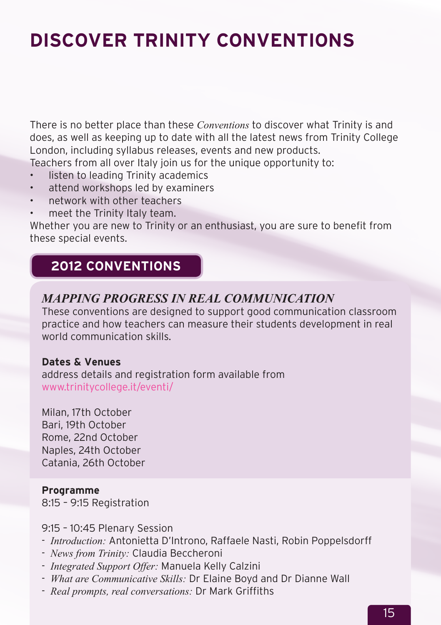# **Discover Trinity ConventionS**

There is no better place than these *Conventions* to discover what Trinity is and does, as well as keeping up to date with all the latest news from Trinity College London, including syllabus releases, events and new products. Teachers from all over Italy join us for the unique opportunity to:

- listen to leading Trinity academics
- attend workshops led by examiners
- network with other teachers
- meet the Trinity Italy team.

Whether you are new to Trinity or an enthusiast, you are sure to benefit from these special events.

# **2012 CONVENTIONS**

## *Mapping progress in real communication*

These conventions are designed to support good communication classroom practice and how teachers can measure their students development in real world communication skills.

#### **Dates & Venues**

address details and registration form available from www.trinitycollege.it/eventi/

Milan, 17th October Bari, 19th October Rome, 22nd October Naples, 24th October Catania, 26th October

#### **Programme**

8:15 – 9:15 Registration

#### 9:15 – 10:45 Plenary Session

- *Introduction:* Antonietta D'Introno, Raffaele Nasti, Robin Poppelsdorff
- *News from Trinity:* Claudia Beccheroni
- *Integrated Support Offer:* Manuela Kelly Calzini
- *What are Communicative Skills:* Dr Elaine Boyd and Dr Dianne Wall
- *Real prompts, real conversations:* Dr Mark Griffiths